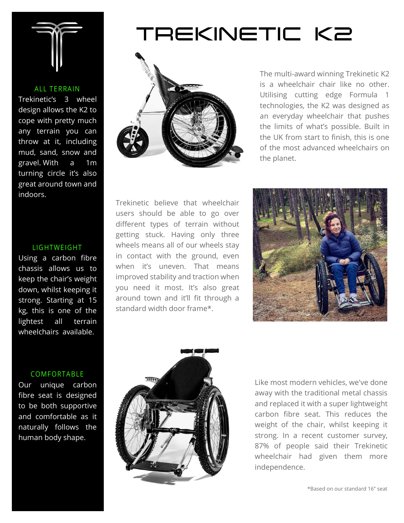

### ALL TERRAIN

Trekinetic's 3 wheel design allows the K2 to cope with pretty much any terrain you can throw at it, including mud, sand, snow and gravel. With a 1m turning circle it's also great around town and indoors.

#### LIGHTWEIGHT

Using a carbon fibre chassis allows us to keep the chair's weight down, whilst keeping it strong. Starting at 15 kg, this is one of the lightest all terrain wheelchairs available.

#### COMFORTABLE

Our unique carbon fibre seat is designed to be both supportive and comfortable as it naturally follows the human body shape.

# TREKINETIC K2



The multi-award winning Trekinetic K2 is a wheelchair chair like no other. Utilising cutting edge Formula 1 technologies, the K2 was designed as an everyday wheelchair that pushes the limits of what's possible. Built in the UK from start to finish, this is one of the most advanced wheelchairs on the planet.

Trekinetic believe that wheelchair users should be able to go over different types of terrain without getting stuck. Having only three wheels means all of our wheels stay in contact with the ground, even when it's uneven. That means improved stability and traction when you need it most. It's also great around town and it'll fit through a standard width door frame\*.





Like most modern vehicles, we've done away with the traditional metal chassis and replaced it with a super lightweight carbon fibre seat. This reduces the weight of the chair, whilst keeping it strong. In a recent customer survey, 87% of people said their Trekinetic wheelchair had given them more independence.

\*Based on our standard 16" seat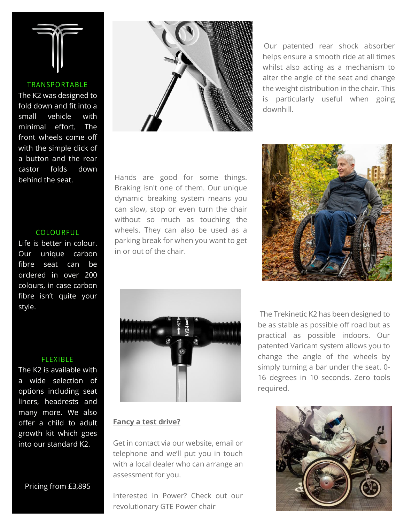#### TRANSPORTABLE

The K2 was designed to fold down and fit into a small vehicle with minimal effort. The front wheels come off with the simple click of a button and the rear castor folds down behind the seat.

### COLOURFUL

Life is better in colour. Our unique carbon fibre seat can be ordered in over 200 colours, in case carbon fibre isn't quite your style.

#### **FLEXIBLE**

The K2 is available with a wide selection of options including seat liners, headrests and many more. We also offer a child to adult growth kit which goes into our standard K2.

Pricing from £3,895

Hands are good for some things. Braking isn't one of them. Our unique dynamic breaking system means you can slow, stop or even turn the chair without so much as touching the wheels. They can also be used as a parking break for when you want to get in or out of the chair.







#### **Fancy a test drive?**

Get in contact via our website, email or telephone and we'll put you in touch with a local dealer who can arrange an assessment for you.

Interested in Power? Check out our revolutionary GTE Power chair